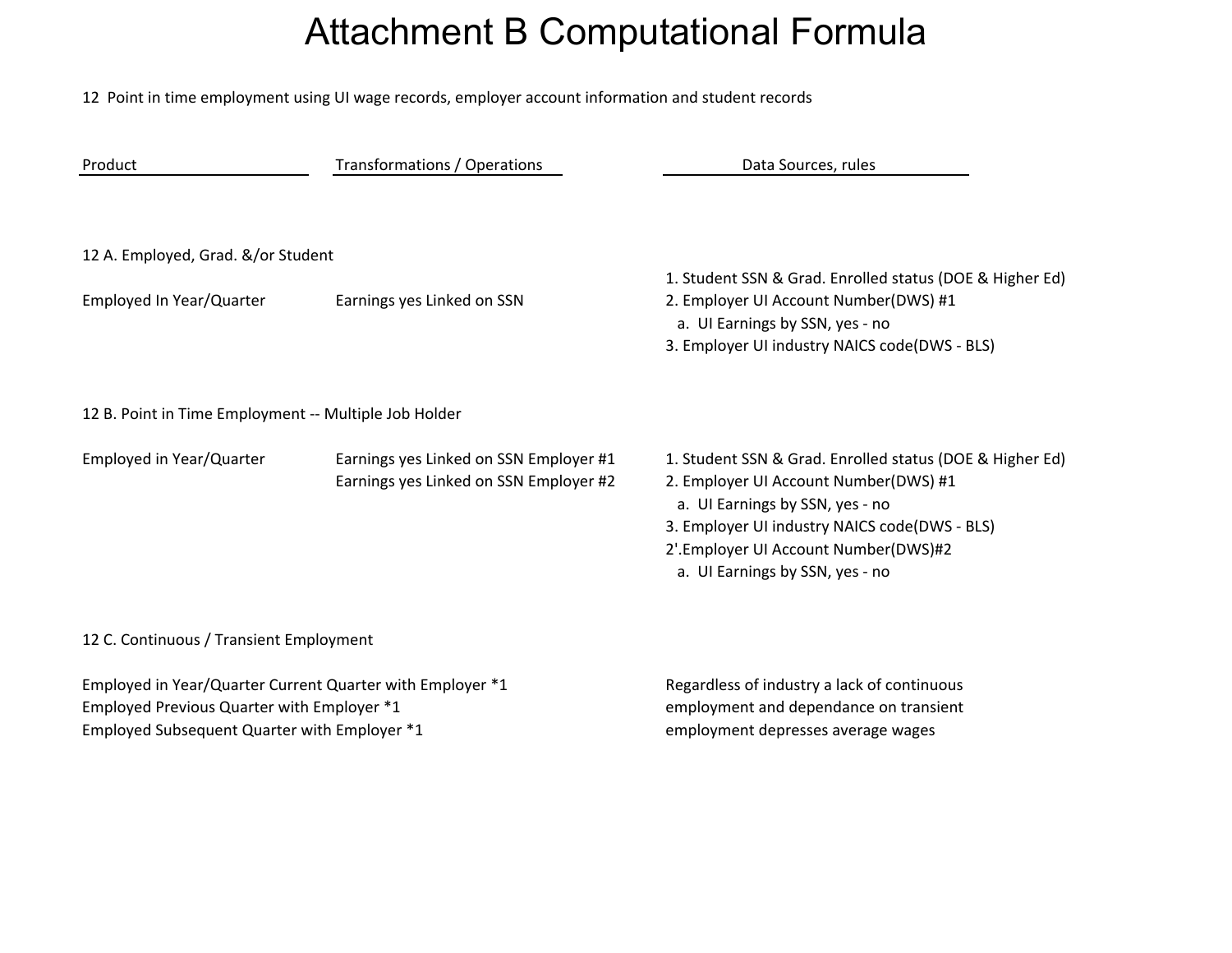## Attachment B Computational Formula

12 Point in time employment using UI wage records, employer account information and student records

| Product                                                                                                                                                 | Transformations / Operations                                                     | Data Sources, rules                                                                                                                                                                                                                                              |
|---------------------------------------------------------------------------------------------------------------------------------------------------------|----------------------------------------------------------------------------------|------------------------------------------------------------------------------------------------------------------------------------------------------------------------------------------------------------------------------------------------------------------|
| 12 A. Employed, Grad. &/or Student<br>Employed In Year/Quarter                                                                                          | Earnings yes Linked on SSN                                                       | 1. Student SSN & Grad. Enrolled status (DOE & Higher Ed)<br>2. Employer UI Account Number(DWS) #1<br>a. UI Earnings by SSN, yes - no<br>3. Employer UI industry NAICS code(DWS - BLS)                                                                            |
| 12 B. Point in Time Employment -- Multiple Job Holder                                                                                                   |                                                                                  |                                                                                                                                                                                                                                                                  |
| Employed in Year/Quarter                                                                                                                                | Earnings yes Linked on SSN Employer #1<br>Earnings yes Linked on SSN Employer #2 | 1. Student SSN & Grad. Enrolled status (DOE & Higher Ed)<br>2. Employer UI Account Number(DWS) #1<br>a. UI Earnings by SSN, yes - no<br>3. Employer UI industry NAICS code(DWS - BLS)<br>2'.Employer UI Account Number(DWS)#2<br>a. UI Earnings by SSN, yes - no |
| 12 C. Continuous / Transient Employment                                                                                                                 |                                                                                  |                                                                                                                                                                                                                                                                  |
| Employed in Year/Quarter Current Quarter with Employer *1<br>Employed Previous Quarter with Employer *1<br>Employed Subsequent Quarter with Employer *1 |                                                                                  | Regardless of industry a lack of continuous<br>employment and dependance on transient<br>employment depresses average wages                                                                                                                                      |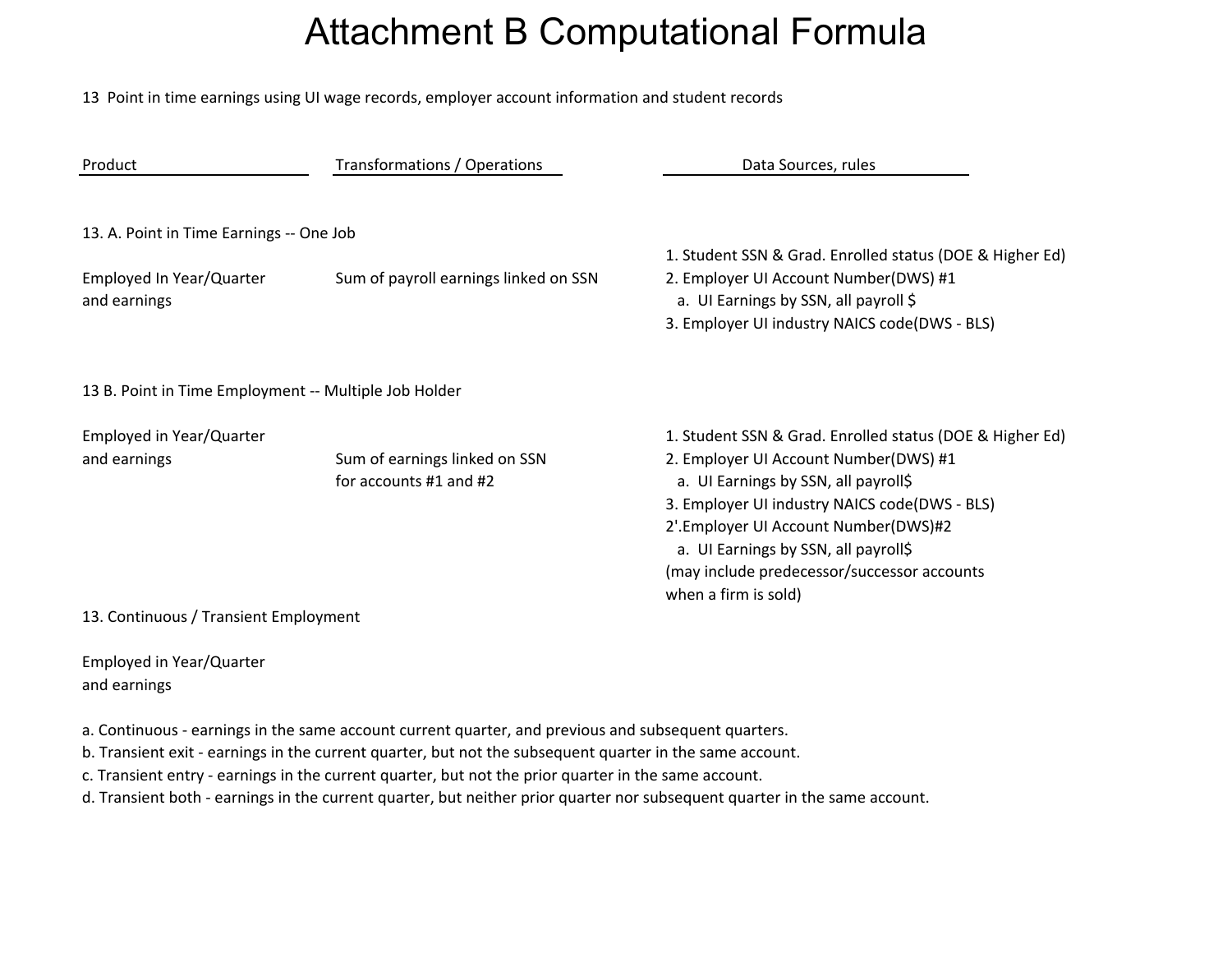## Attachment B Computational Formula

13 Point in time earnings using UI wage records, employer account information and student records

| Product                                                                              | Transformations / Operations                            | Data Sources, rules                                                                                                                                                                                                                                                                                                                               |  |  |
|--------------------------------------------------------------------------------------|---------------------------------------------------------|---------------------------------------------------------------------------------------------------------------------------------------------------------------------------------------------------------------------------------------------------------------------------------------------------------------------------------------------------|--|--|
| 13. A. Point in Time Earnings -- One Job<br>Employed In Year/Quarter<br>and earnings | Sum of payroll earnings linked on SSN                   | 1. Student SSN & Grad. Enrolled status (DOE & Higher Ed)<br>2. Employer UI Account Number(DWS) #1<br>a. UI Earnings by SSN, all payroll \$<br>3. Employer UI industry NAICS code(DWS - BLS)                                                                                                                                                       |  |  |
| 13 B. Point in Time Employment -- Multiple Job Holder                                |                                                         |                                                                                                                                                                                                                                                                                                                                                   |  |  |
| Employed in Year/Quarter<br>and earnings                                             | Sum of earnings linked on SSN<br>for accounts #1 and #2 | 1. Student SSN & Grad. Enrolled status (DOE & Higher Ed)<br>2. Employer UI Account Number(DWS) #1<br>a. UI Earnings by SSN, all payroll\$<br>3. Employer UI industry NAICS code(DWS - BLS)<br>2'.Employer UI Account Number(DWS)#2<br>a. UI Earnings by SSN, all payroll\$<br>(may include predecessor/successor accounts<br>when a firm is sold) |  |  |
| 13. Continuous / Transient Employment                                                |                                                         |                                                                                                                                                                                                                                                                                                                                                   |  |  |

Employed in Year/Quarter and earnings

a. Continuous ‐ earnings in the same account current quarter, and previous and subsequent quarters.

b. Transient exit ‐ earnings in the current quarter, but not the subsequent quarter in the same account.

c. Transient entry ‐ earnings in the current quarter, but not the prior quarter in the same account.

d. Transient both ‐ earnings in the current quarter, but neither prior quarter nor subsequent quarter in the same account.